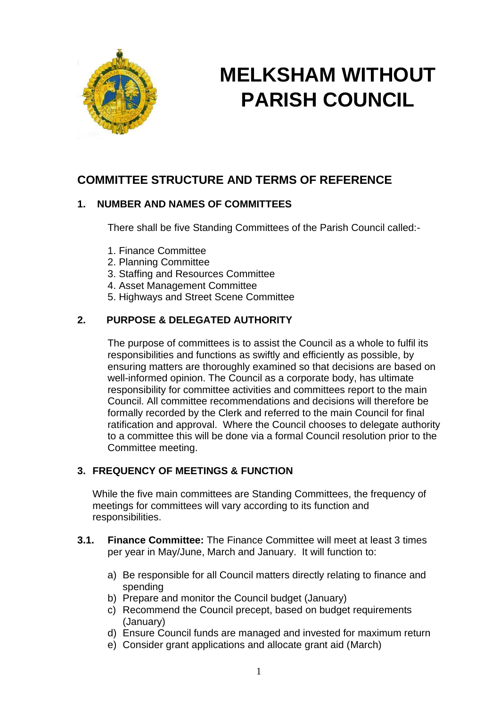

# **MELKSHAM WITHOUT PARISH COUNCIL**

## **COMMITTEE STRUCTURE AND TERMS OF REFERENCE**

## **1. NUMBER AND NAMES OF COMMITTEES**

There shall be five Standing Committees of the Parish Council called:-

- 1. Finance Committee
- 2. Planning Committee
- 3. Staffing and Resources Committee
- 4. Asset Management Committee
- 5. Highways and Street Scene Committee

## **2. PURPOSE & DELEGATED AUTHORITY**

The purpose of committees is to assist the Council as a whole to fulfil its responsibilities and functions as swiftly and efficiently as possible, by ensuring matters are thoroughly examined so that decisions are based on well-informed opinion. The Council as a corporate body, has ultimate responsibility for committee activities and committees report to the main Council. All committee recommendations and decisions will therefore be formally recorded by the Clerk and referred to the main Council for final ratification and approval. Where the Council chooses to delegate authority to a committee this will be done via a formal Council resolution prior to the Committee meeting.

## **3. FREQUENCY OF MEETINGS & FUNCTION**

While the five main committees are Standing Committees, the frequency of meetings for committees will vary according to its function and responsibilities.

- **3.1. Finance Committee:** The Finance Committee will meet at least 3 times per year in May/June, March and January. It will function to:
	- a) Be responsible for all Council matters directly relating to finance and spending
	- b) Prepare and monitor the Council budget (January)
	- c) Recommend the Council precept, based on budget requirements (January)
	- d) Ensure Council funds are managed and invested for maximum return
	- e) Consider grant applications and allocate grant aid (March)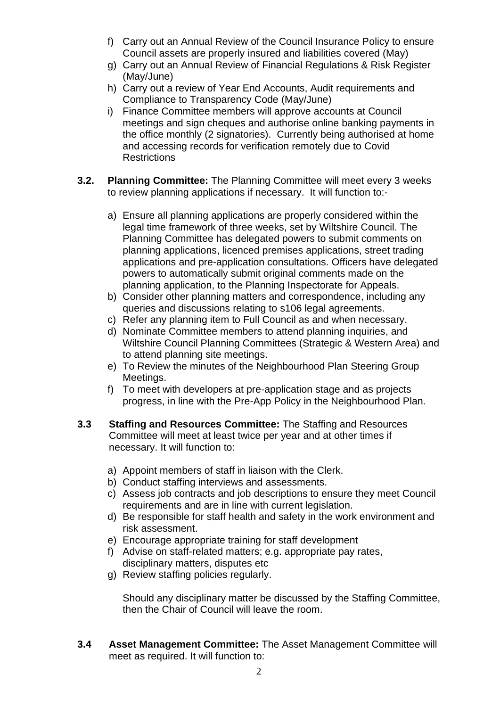- f) Carry out an Annual Review of the Council Insurance Policy to ensure Council assets are properly insured and liabilities covered (May)
- g) Carry out an Annual Review of Financial Regulations & Risk Register (May/June)
- h) Carry out a review of Year End Accounts, Audit requirements and Compliance to Transparency Code (May/June)
- i) Finance Committee members will approve accounts at Council meetings and sign cheques and authorise online banking payments in the office monthly (2 signatories). Currently being authorised at home and accessing records for verification remotely due to Covid **Restrictions**
- **3.2. Planning Committee:** The Planning Committee will meet every 3 weeks to review planning applications if necessary. It will function to:
	- a) Ensure all planning applications are properly considered within the legal time framework of three weeks, set by Wiltshire Council. The Planning Committee has delegated powers to submit comments on planning applications, licenced premises applications, street trading applications and pre-application consultations. Officers have delegated powers to automatically submit original comments made on the planning application, to the Planning Inspectorate for Appeals.
	- b) Consider other planning matters and correspondence, including any queries and discussions relating to s106 legal agreements.
	- c) Refer any planning item to Full Council as and when necessary.
	- d) Nominate Committee members to attend planning inquiries, and Wiltshire Council Planning Committees (Strategic & Western Area) and to attend planning site meetings.
	- e) To Review the minutes of the Neighbourhood Plan Steering Group Meetings.
	- f) To meet with developers at pre-application stage and as projects progress, in line with the Pre-App Policy in the Neighbourhood Plan.
- **3.3 Staffing and Resources Committee:** The Staffing and Resources Committee will meet at least twice per year and at other times if necessary. It will function to:
	- a) Appoint members of staff in liaison with the Clerk.
	- b) Conduct staffing interviews and assessments.
	- c) Assess job contracts and job descriptions to ensure they meet Council requirements and are in line with current legislation.
	- d) Be responsible for staff health and safety in the work environment and risk assessment.
	- e) Encourage appropriate training for staff development
	- f) Advise on staff-related matters; e.g. appropriate pay rates, disciplinary matters, disputes etc
	- g) Review staffing policies regularly.

Should any disciplinary matter be discussed by the Staffing Committee, then the Chair of Council will leave the room.

**3.4 Asset Management Committee:** The Asset Management Committee will meet as required. It will function to: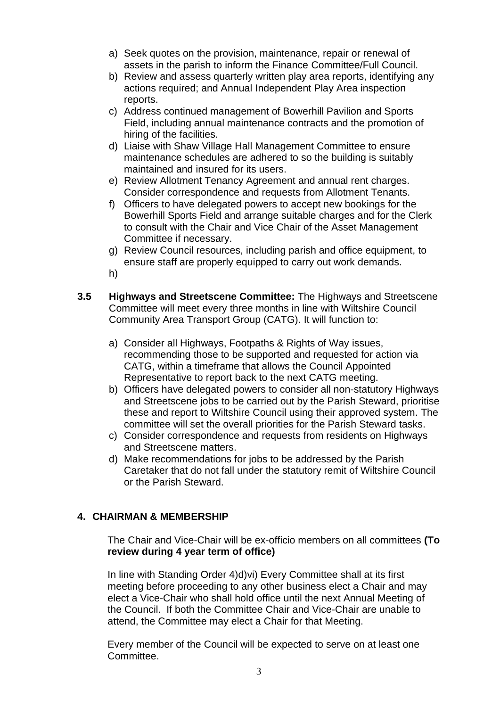- a) Seek quotes on the provision, maintenance, repair or renewal of assets in the parish to inform the Finance Committee/Full Council.
- b) Review and assess quarterly written play area reports, identifying any actions required; and Annual Independent Play Area inspection reports.
- c) Address continued management of Bowerhill Pavilion and Sports Field, including annual maintenance contracts and the promotion of hiring of the facilities.
- d) Liaise with Shaw Village Hall Management Committee to ensure maintenance schedules are adhered to so the building is suitably maintained and insured for its users.
- e) Review Allotment Tenancy Agreement and annual rent charges. Consider correspondence and requests from Allotment Tenants.
- f) Officers to have delegated powers to accept new bookings for the Bowerhill Sports Field and arrange suitable charges and for the Clerk to consult with the Chair and Vice Chair of the Asset Management Committee if necessary.
- g) Review Council resources, including parish and office equipment, to ensure staff are properly equipped to carry out work demands.
- h)
- **3.5 Highways and Streetscene Committee:** The Highways and Streetscene Committee will meet every three months in line with Wiltshire Council Community Area Transport Group (CATG). It will function to:
	- a) Consider all Highways, Footpaths & Rights of Way issues, recommending those to be supported and requested for action via CATG, within a timeframe that allows the Council Appointed Representative to report back to the next CATG meeting.
	- b) Officers have delegated powers to consider all non-statutory Highways and Streetscene jobs to be carried out by the Parish Steward, prioritise these and report to Wiltshire Council using their approved system. The committee will set the overall priorities for the Parish Steward tasks.
	- c) Consider correspondence and requests from residents on Highways and Streetscene matters.
	- d) Make recommendations for jobs to be addressed by the Parish Caretaker that do not fall under the statutory remit of Wiltshire Council or the Parish Steward.

## **4. CHAIRMAN & MEMBERSHIP**

The Chair and Vice-Chair will be ex-officio members on all committees **(To review during 4 year term of office)**

In line with Standing Order 4)d)vi) Every Committee shall at its first meeting before proceeding to any other business elect a Chair and may elect a Vice-Chair who shall hold office until the next Annual Meeting of the Council. If both the Committee Chair and Vice-Chair are unable to attend, the Committee may elect a Chair for that Meeting.

Every member of the Council will be expected to serve on at least one **Committee.**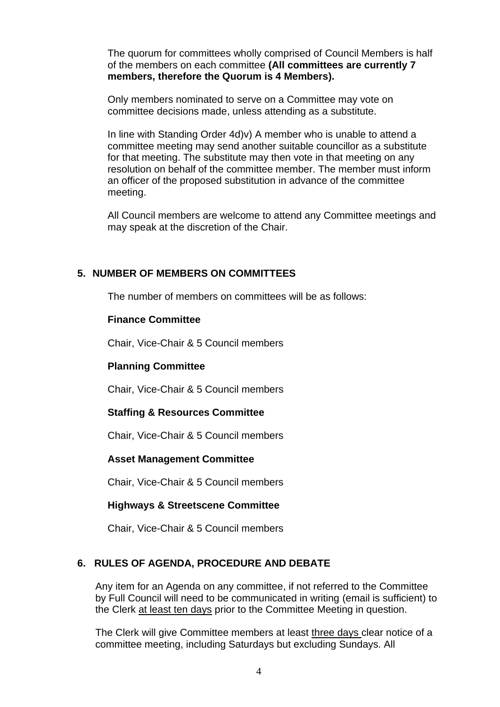The quorum for committees wholly comprised of Council Members is half of the members on each committee **(All committees are currently 7 members, therefore the Quorum is 4 Members).**

Only members nominated to serve on a Committee may vote on committee decisions made, unless attending as a substitute.

In line with Standing Order 4d)v) A member who is unable to attend a committee meeting may send another suitable councillor as a substitute for that meeting. The substitute may then vote in that meeting on any resolution on behalf of the committee member. The member must inform an officer of the proposed substitution in advance of the committee meeting.

All Council members are welcome to attend any Committee meetings and may speak at the discretion of the Chair.

#### **5. NUMBER OF MEMBERS ON COMMITTEES**

The number of members on committees will be as follows:

#### **Finance Committee**

Chair, Vice-Chair & 5 Council members

#### **Planning Committee**

Chair, Vice-Chair & 5 Council members

#### **Staffing & Resources Committee**

Chair, Vice-Chair & 5 Council members

#### **Asset Management Committee**

Chair, Vice-Chair & 5 Council members

#### **Highways & Streetscene Committee**

Chair, Vice-Chair & 5 Council members

#### **6. RULES OF AGENDA, PROCEDURE AND DEBATE**

Any item for an Agenda on any committee, if not referred to the Committee by Full Council will need to be communicated in writing (email is sufficient) to the Clerk at least ten days prior to the Committee Meeting in question.

The Clerk will give Committee members at least three days clear notice of a committee meeting, including Saturdays but excluding Sundays. All